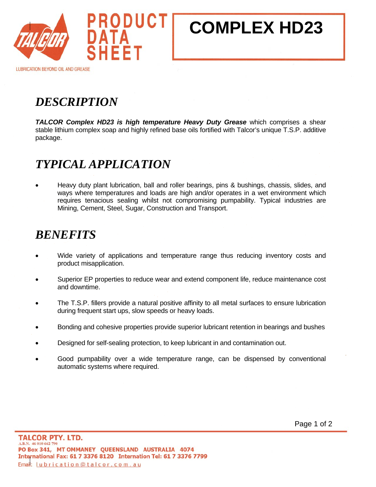

# **COMPLEX HD23**

**LUBRICATION BEYOND OIL AND GREASE** 

## *DESCRIPTION*

**TALCOR Complex HD23 is high temperature Heavy Duty Grease** which comprises a shear stable lithium complex soap and highly refined base oils fortified with Talcor's unique T.S.P. additive package.

### *TYPICAL APPLICATION*

• Heavy duty plant lubrication, ball and roller bearings, pins & bushings, chassis, slides, and ways where temperatures and loads are high and/or operates in a wet environment which requires tenacious sealing whilst not compromising pumpability. Typical industries are Mining, Cement, Steel, Sugar, Construction and Transport.

#### *BENEFITS*

- Wide variety of applications and temperature range thus reducing inventory costs and product misapplication.
- Superior EP properties to reduce wear and extend component life, reduce maintenance cost and downtime.
- The T.S.P. fillers provide a natural positive affinity to all metal surfaces to ensure lubrication during frequent start ups, slow speeds or heavy loads.
- Bonding and cohesive properties provide superior lubricant retention in bearings and bushes
- Designed for self-sealing protection, to keep lubricant in and contamination out.
- Good pumpability over a wide temperature range, can be dispensed by conventional automatic systems where required.